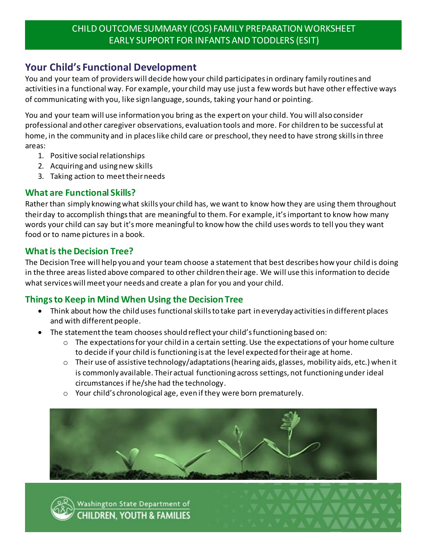### CHILD OUTCOME SUMMARY (COS) FAMILY PREPARATION WORKSHEET EARLY SUPPORT FOR INFANTS AND TODDLERS (ESIT)

# **Your Child's Functional Development**

You and your team of providers will decide how your child participates in ordinary family routines and activities in a functional way. For example, your child may use just a few words but have other effective ways of communicating with you, like sign language, sounds, taking your hand or pointing.

You and your team will use information you bring as the expert on your child. You will also consider professional and other caregiver observations, evaluation tools and more. For children to be successful at home, in the community and in places like child care or preschool, they need to have strong skills in three areas:

- 1. Positive social relationships
- 2. Acquiring and using new skills
- 3. Taking action to meet their needs

### **What are Functional Skills?**

Rather than simply knowing what skills your child has, we want to know how they are using them throughout their day to accomplish things that are meaningful to them. For example, it's important to know how many words your child can say but it's more meaningful to know how the child uses words to tell you they want food or to name pictures in a book.

#### **What is the Decision Tree?**

The Decision Tree will help you and your team choose a statement that best describes how your child is doing in the three areas listed above compared to other children their age. We will use this information to decide what services will meet your needs and create a plan for you and your child.

### **Things to Keep in Mind When Using the Decision Tree**

- Think about how the child uses functional skills to take part in everyday activities in different places and with different people.
- The statement the team chooses should reflect your child's functioning based on:
	- $\circ$  The expectations for your child in a certain setting. Use the expectations of your home culture to decide if your child is functioning is at the level expected for their age at home.
	- $\circ$  Their use of assistive technology/adaptations (hearing aids, glasses, mobility aids, etc.) when it is commonly available. Their actual functioning across settings, not functioning under ideal circumstances if he/she had the technology.
	- o Your child's chronological age, even if they were born prematurely.